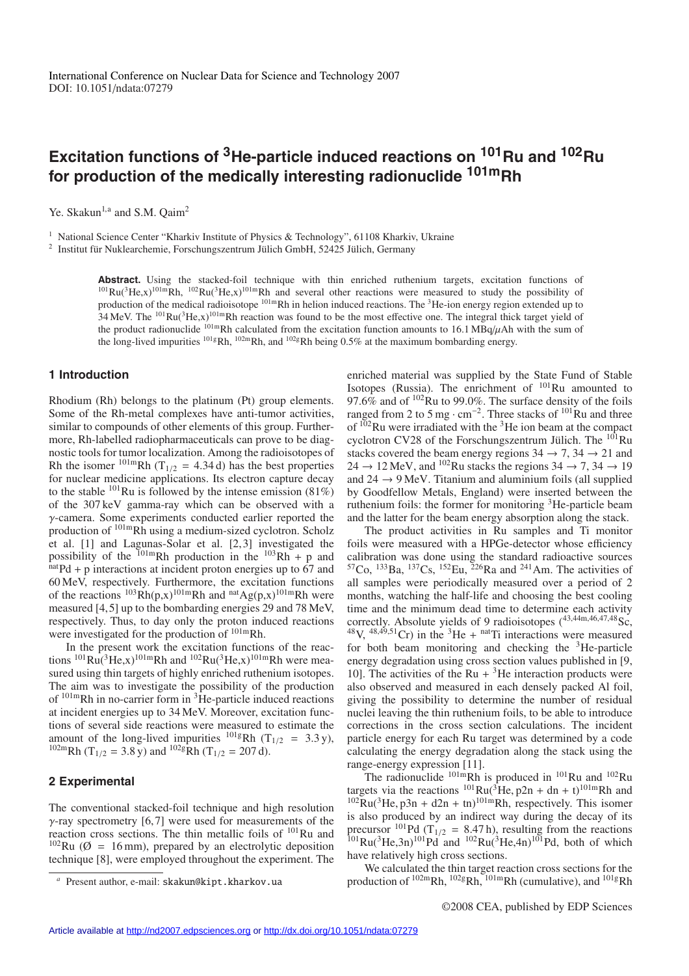# **Excitation functions of 3He-particle induced reactions on 101Ru and 102Ru for production of the medically interesting radionuclide 101mRh**

Ye. Skakun<sup>1,a</sup> and S.M. Qaim<sup>2</sup>

<sup>1</sup> National Science Center "Kharkiv Institute of Physics & Technology", 61108 Kharkiv, Ukraine

 $2$  Institut für Nuklearchemie, Forschungszentrum Jülich GmbH, 52425 Jülich, Germany

**Abstract.** Using the stacked-foil technique with thin enriched ruthenium targets, excitation functions of  $101 \text{Ru}(3\text{He},x)^{101}$ mRh,  $102 \text{Ru}(3\text{He},x)^{101}$ mRh and several other reactions were measured to study the possibility of production of the medical radioisotope 101mRh in helion induced reactions. The 3He-ion energy region extended up to 34 MeV. The <sup>101</sup>Ru(<sup>3</sup>He,x)<sup>101m</sup>Rh reaction was found to be the most effective one. The integral thick target yield of the product radionuclide  $^{101m}$ Rh calculated from the excitation function amounts to 16.1 MBq/ $\mu$ Ah with the sum of the long-lived impurities <sup>101g</sup>Rh, <sup>102m</sup>Rh, and <sup>102g</sup>Rh being 0.5% at the maximum bombarding energy.

# **1 Introduction**

Rhodium (Rh) belongs to the platinum (Pt) group elements. Some of the Rh-metal complexes have anti-tumor activities, similar to compounds of other elements of this group. Furthermore, Rh-labelled radiopharmaceuticals can prove to be diagnostic tools for tumor localization. Among the radioisotopes of Rh the isomer  $^{101m}$ Rh (T<sub>1/2</sub> = 4.34 d) has the best properties for nuclear medicine applications. Its electron capture decay to the stable  $^{101}$ Ru is followed by the intense emission (81%) of the 307 keV gamma-ray which can be observed with a γ-camera. Some experiments conducted earlier reported the production of 101mRh using a medium-sized cyclotron. Scholz et al. [1] and Lagunas-Solar et al. [2, 3] investigated the possibility of the <sup>101m</sup>Rh production in the <sup>103</sup>Rh + p and <sup>nat</sup>Pd + p interactions at incident proton energies up to 67 and 60 MeV, respectively. Furthermore, the excitation functions of the reactions  $^{103}Rh(p,x)^{101m}Rh$  and  $^{nat}Ag(p,x)^{101m}Rh$  were measured [4, 5] up to the bombarding energies 29 and 78 MeV, respectively. Thus, to day only the proton induced reactions were investigated for the production of 101mRh.

In the present work the excitation functions of the reactions  ${}^{101}Ru$ <sup>3</sup>He,x)<sup>101m</sup>Rh and  ${}^{102}Ru$ <sup>3</sup>He,x)<sup>101m</sup>Rh were measured using thin targets of highly enriched ruthenium isotopes. The aim was to investigate the possibility of the production of  $101m$ Rh in no-carrier form in  ${}^{3}$ He-particle induced reactions at incident energies up to 34 MeV. Moreover, excitation functions of several side reactions were measured to estimate the amount of the long-lived impurities  $^{101}$ gRh (T<sub>1/2</sub> = 3.3 y), <sup>102m</sup>Rh (T<sub>1/2</sub> = 3.8 y) and <sup>102g</sup>Rh (T<sub>1/2</sub> = 207 d).

### **2 Experimental**

The conventional stacked-foil technique and high resolution  $\gamma$ -ray spectrometry [6,7] were used for measurements of the reaction cross sections. The thin metallic foils of <sup>101</sup>Ru and  $102$ Ru ( $\varnothing$  = 16 mm), prepared by an electrolytic deposition technique [8], were employed throughout the experiment. The enriched material was supplied by the State Fund of Stable Isotopes (Russia). The enrichment of  $101$ Ru amounted to 97.6% and of  $102$ Ru to 99.0%. The surface density of the foils ranged from 2 to 5 mg  $\cdot$  cm<sup>-2</sup>. Three stacks of <sup>101</sup>Ru and three of  $102$ Ru were irradiated with the <sup>3</sup>He ion beam at the compact cyclotron CV28 of the Forschungszentrum Jülich. The  $^{101}$ Ru stacks covered the beam energy regions  $34 \rightarrow 7, 34 \rightarrow 21$  and  $24 \rightarrow 12$  MeV, and <sup>102</sup>Ru stacks the regions  $34 \rightarrow 7, 34 \rightarrow 19$ and  $24 \rightarrow 9$  MeV. Titanium and aluminium foils (all supplied by Goodfellow Metals, England) were inserted between the ruthenium foils: the former for monitoring <sup>3</sup>He-particle beam and the latter for the beam energy absorption along the stack.

The product activities in Ru samples and Ti monitor foils were measured with a HPGe-detector whose efficiency calibration was done using the standard radioactive sources  ${}^{57}Co$ ,  ${}^{133}Ba$ ,  ${}^{137}Cs$ ,  ${}^{152}Eu$ ,  ${}^{226}Ra$  and  ${}^{241}Am$ . The activities of all samples were periodically measured over a period of 2 months, watching the half-life and choosing the best cooling time and the minimum dead time to determine each activity correctly. Absolute yields of 9 radioisotopes  $(^{43,44m,46,47,48}$ Sc,  $^{48}V$ ,  $^{48,49,51}Cr$ ) in the <sup>3</sup>He + <sup>nat</sup>Ti interactions were measured for both beam monitoring and checking the  ${}^{3}$ He-particle energy degradation using cross section values published in [9, 10]. The activities of the Ru  $+{}^{3}$ He interaction products were also observed and measured in each densely packed Al foil, giving the possibility to determine the number of residual nuclei leaving the thin ruthenium foils, to be able to introduce corrections in the cross section calculations. The incident particle energy for each Ru target was determined by a code calculating the energy degradation along the stack using the range-energy expression [11].

The radionuclide  $^{101m}$ Rh is produced in  $^{101}$ Ru and  $^{102}$ Ru targets via the reactions  $^{101}Ru(^{3}He, p2n + dn + t)^{101m}Rh$  and  $102Ru$ <sup>3</sup>He, p3n + d2n + tn)<sup>101m</sup>Rh, respectively. This isomer is also produced by an indirect way during the decay of its precursor <sup>101</sup>Pd (T<sub>1/2</sub> = 8.47 h), resulting from the reactions  $101$ Ru( $3$ He,3n)<sup>101</sup>Pd and  $102$ Ru( $3$ He,4n)<sup>101</sup>Pd, both of which have relatively high cross sections.

We calculated the thin target reaction cross sections for the production of  $102mRh$ ,  $102gRh$ ,  $101mRh$  (cumulative), and  $101gRh$ 

Present author, e-mail: skakun@kipt.kharkov.ua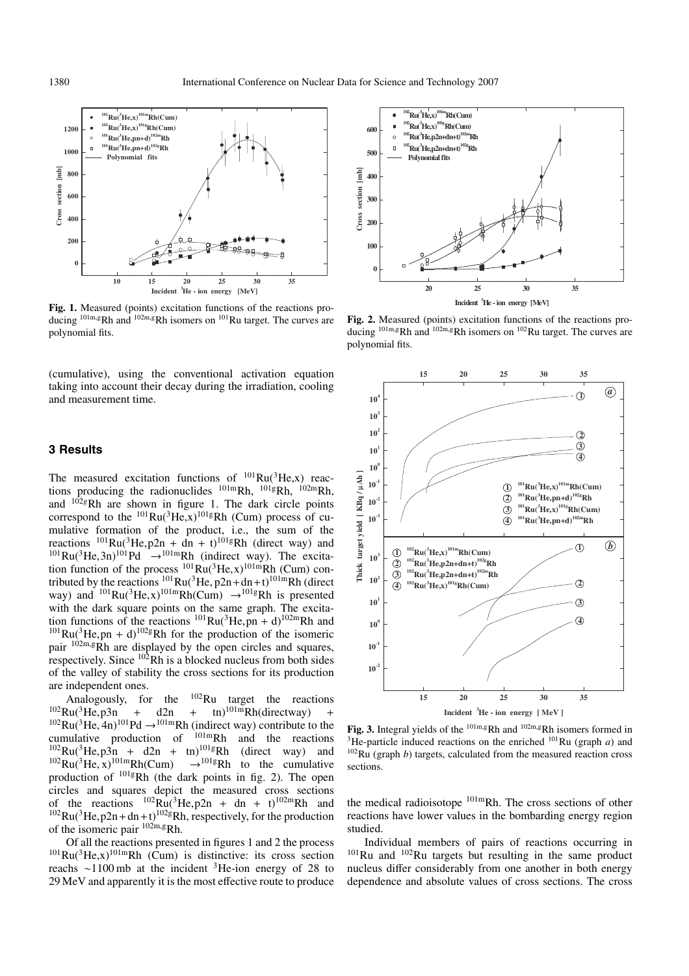

**Fig. 1.** Measured (points) excitation functions of the reactions producing  $101m, gRh$  and  $102m, gRh$  isomers on  $101Ru$  target. The curves are polynomial fits.

(cumulative), using the conventional activation equation taking into account their decay during the irradiation, cooling and measurement time.

# **3 Results**

The measured excitation functions of  $^{101}Ru(^{3}He,x)$  reactions producing the radionuclides  $^{101m}Rh$ ,  $^{101g}Rh$ ,  $^{102m}Rh$ , and <sup>102g</sup>Rh are shown in figure 1. The dark circle points correspond to the  $^{101}Ru(^{3}He.x)^{101g}Rh$  (Cum) process of cumulative formation of the product, i.e., the sum of the reactions  $^{101}Ru^{3}He$ ,  $p2n + dn + t$ )<sup>101g</sup>Rh (direct way) and  $^{101}Ru(^{3}He,3n)^{101}Pd \rightarrow ^{101m}Rh$  (indirect way). The excitation function of the process  ${}^{101}Ru({}^{3}He,x){}^{101m}Rh$  (Cum) contributed by the reactions  $^{101}Ru(^{3}He, p2n+dn+t)^{101m}Rh$  (direct way) and  $^{101}Ru(^{3}He,x)^{101m}Rh(Cum) \rightarrow ^{101g}Rh$  is presented with the dark square points on the same graph. The excitation functions of the reactions  ${}^{101}Ru({}^{3}He,pn + d){}^{102m}Rh$  and  $101$ Ru( ${}^{3}$ He,pn + d)<sup>102g</sup>Rh for the production of the isomeric pair  $10^{2m}$ ,gRh are displayed by the open circles and squares, respectively. Since  $10\overline{2}$ Rh is a blocked nucleus from both sides of the valley of stability the cross sections for its production are independent ones.

Analogously, for the  ${}^{102}$ Ru target the reactions<br>Ru(<sup>3</sup>He, p3n + d2n + tn)<sup>101m</sup>Rh(directway) +  $102$ Ru( ${}^{3}$ He, p3n + d2n + tn)<sup>101m</sup>Rh(directway) +  $102$ Ru( ${}^{3}$ He, 4n)<sup>101</sup>Pd  $\rightarrow$ <sup>101m</sup>Rh (indirect way) contribute to the cumulative production of 101mRh and the reactions  $102$ Ru( ${}^{3}$ He,  $p3n + d2n + t$ n)<sup>101g</sup>Rh (direct way) and  $102Ru(^{3}He, x)^{101m}Rh(Cum) \rightarrow 101gRh$  to the cumulative production of 101gRh (the dark points in fig. 2). The open circles and squares depict the measured cross sections of the reactions  $^{102}$ Ru( $^{3}$ He, p2n + dn + t)<sup>102m</sup>Rh and  $102$ Ru( $3$ He, p2n + dn + t)<sup>102g</sup>Rh, respectively, for the production of the isomeric pair 102m,gRh.

Of all the reactions presented in figures 1 and 2 the process  $101$ Ru( $3$ He,x) $101$ mRh (Cum) is distinctive: its cross section reachs ∼1100 mb at the incident 3He-ion energy of 28 to 29 MeV and apparently it is the most effective route to produce



**Fig. 2.** Measured (points) excitation functions of the reactions producing <sup>101m,g</sup>Rh and <sup>102m,g</sup>Rh isomers on <sup>102</sup>Ru target. The curves are polynomial fits.



Fig. 3. Integral yields of the <sup>101m,g</sup>Rh and <sup>102m,g</sup>Rh isomers formed in <sup>3</sup>He-particle induced reactions on the enriched  $101$ Ru (graph *a*) and  $102$ Ru (graph *b*) targets, calculated from the measured reaction cross sections.

the medical radioisotope <sup>101m</sup>Rh. The cross sections of other reactions have lower values in the bombarding energy region studied.

Individual members of pairs of reactions occurring in 101Ru and 102Ru targets but resulting in the same product nucleus differ considerably from one another in both energy dependence and absolute values of cross sections. The cross